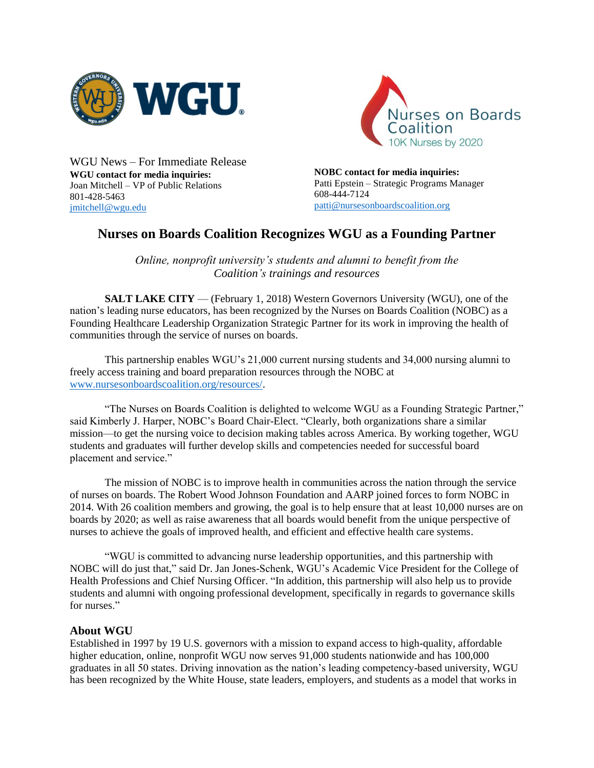



WGU News – For Immediate Release **WGU contact for media inquiries:** Joan Mitchell – VP of Public Relations 801-428-5463 [jmitchell@wgu.edu](mailto:jmitchell@wgu.edu)

**NOBC contact for media inquiries:** Patti Epstein – Strategic Programs Manager 608-444-7124 [patti@nursesonboardscoalition.org](mailto:patti@nursesonboardscoalition.org)

## **Nurses on Boards Coalition Recognizes WGU as a Founding Partner**

*Online, nonprofit university's students and alumni to benefit from the Coalition's trainings and resources*

**SALT LAKE CITY** — (February 1, 2018) Western Governors University (WGU), one of the nation's leading nurse educators, has been recognized by the Nurses on Boards Coalition (NOBC) as a Founding Healthcare Leadership Organization Strategic Partner for its work in improving the health of communities through the service of nurses on boards.

This partnership enables WGU's 21,000 current nursing students and 34,000 nursing alumni to freely access training and board preparation resources through the NOBC at [www.nursesonboardscoalition.org/resources/.](https://www.nursesonboardscoalition.org/resources/)

"The Nurses on Boards Coalition is delighted to welcome WGU as a Founding Strategic Partner," said Kimberly J. Harper, NOBC's Board Chair-Elect. "Clearly, both organizations share a similar mission—to get the nursing voice to decision making tables across America. By working together, WGU students and graduates will further develop skills and competencies needed for successful board placement and service."

The mission of NOBC is to improve health in communities across the nation through the service of nurses on boards. The Robert Wood Johnson Foundation and AARP joined forces to form NOBC in 2014. With 26 coalition members and growing, the goal is to help ensure that at least 10,000 nurses are on boards by 2020; as well as raise awareness that all boards would benefit from the unique perspective of nurses to achieve the goals of improved health, and efficient and effective health care systems.

"WGU is committed to advancing nurse leadership opportunities, and this partnership with NOBC will do just that," said Dr. Jan Jones-Schenk, WGU's Academic Vice President for the College of Health Professions and Chief Nursing Officer. "In addition, this partnership will also help us to provide students and alumni with ongoing professional development, specifically in regards to governance skills for nurses."

## **About WGU**

Established in 1997 by 19 U.S. governors with a mission to expand access to high-quality, affordable higher education, online, nonprofit WGU now serves 91,000 students nationwide and has 100,000 graduates in all 50 states. Driving innovation as the nation's leading competency-based university, WGU has been recognized by the White House, state leaders, employers, and students as a model that works in